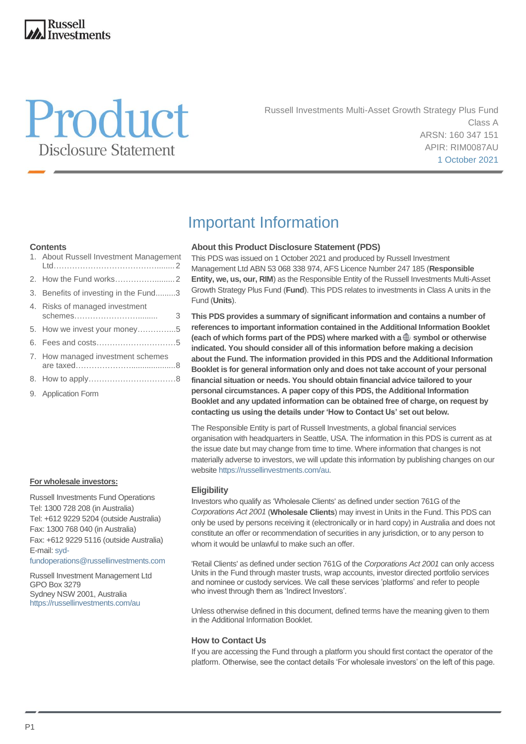## **Russell Investments**



Russell Investments Multi-Asset Growth Strategy Plus Fund Class A ARSN: 160 347 151 APIR: RIM0087AU 1 October 2021

## **Contents**

| 1. About Russell Investment Management         |
|------------------------------------------------|
|                                                |
| 3. Benefits of investing in the Fund3          |
| 4. Risks of managed investment<br>schemes<br>3 |
| 5. How we invest your money5                   |
|                                                |
| 7. How managed investment schemes              |
|                                                |
| 9. Application Form                            |

#### **For wholesale investors:**

Russell Investments Fund Operations Tel: 1300 728 208 (in Australia) Tel: +612 9229 5204 (outside Australia) Fax: 1300 768 040 (in Australia) Fax: +612 9229 5116 (outside Australia) E-mail[: syd-](mailto:syd-fundoperations@russellinvestments.com)

[fundoperations@russellinvestments.com](mailto:syd-fundoperations@russellinvestments.com)

Russell Investment Management Ltd GPO Box 3279 Sydney NSW 2001, Australia <https://russellinvestments.com/au>

## Important Information

### **About this Product Disclosure Statement (PDS)**

This PDS was issued on 1 October 2021 and produced by Russell Investment Management Ltd ABN 53 068 338 974, AFS Licence Number 247 185 (**Responsible Entity, we, us, our, RIM**) as the Responsible Entity of the Russell Investments Multi-Asset Growth Strategy Plus Fund (**Fund**). This PDS relates to investments in Class A units in the Fund (**Units**).

**This PDS provides a summary of significant information and contains a number of references to important information contained in the Additional Information Booklet** (each of which forms part of the PDS) where marked with a  $\oplus$  symbol or otherwise **indicated. You should consider all of this information before making a decision about the Fund. The information provided in this PDS and the Additional Information Booklet is for general information only and does not take account of your personal financial situation or needs. You should obtain financial advice tailored to your personal circumstances. A paper copy of this PDS, the Additional Information Booklet and any updated information can be obtained free of charge, on request by contacting us using the details under 'How to Contact Us' set out below.**

The Responsible Entity is part of Russell Investments, a global financial services organisation with headquarters in Seattle, USA. The information in this PDS is current as at the issue date but may change from time to time. Where information that changes is not materially adverse to investors, we will update this information by publishing changes on our websit[e https://russellinvestments.com/au.](https://russellinvestments.com/au)

#### **Eligibility**

Investors who qualify as 'Wholesale Clients' as defined under section 761G of the *Corporations Act 2001* (**Wholesale Clients**) may invest in Units in the Fund. This PDS can only be used by persons receiving it (electronically or in hard copy) in Australia and does not constitute an offer or recommendation of securities in any jurisdiction, or to any person to whom it would be unlawful to make such an offer.

'Retail Clients' as defined under section 761G of the *Corporations Act 2001* can only access Units in the Fund through master trusts, wrap accounts, investor directed portfolio services and nominee or custody services. We call these services 'platforms' and refer to people who invest through them as 'Indirect Investors'.

Unless otherwise defined in this document, defined terms have the meaning given to them in the Additional Information Booklet.

### **How to Contact Us**

If you are accessing the Fund through a platform you should first contact the operator of the platform. Otherwise, see the contact details 'For wholesale investors' on the left of this page.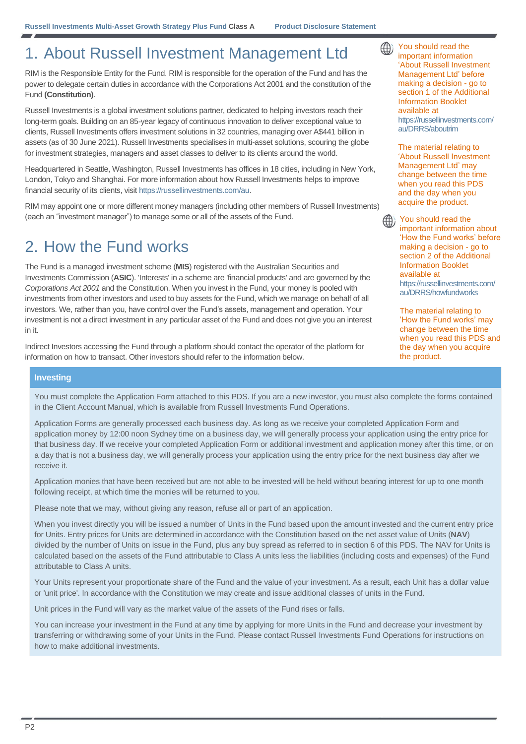# 1. About Russell Investment Management Ltd

RIM is the Responsible Entity for the Fund. RIM is responsible for the operation of the Fund and has the power to delegate certain duties in accordance with the Corporations Act 2001 and the constitution of the Fund **(Constitution)**.

Russell Investments is a global investment solutions partner, dedicated to helping investors reach their long-term goals. Building on an 85-year legacy of continuous innovation to deliver exceptional value to clients, Russell Investments offers investment solutions in 32 countries, managing over A\$441 billion in assets (as of 30 June 2021). Russell Investments specialises in multi-asset solutions, scouring the globe for investment strategies, managers and asset classes to deliver to its clients around the world.

Headquartered in Seattle, Washington, Russell Investments has offices in 18 cities, including in New York, London, Tokyo and Shanghai. For more information about how Russell Investments helps to improve financial security of its clients, visi[t https://russellinvestments.com/au.](https://russellinvestments.com/au)

RIM may appoint one or more different money managers (including other members of Russell Investments) (each an "investment manager") to manage some or all of the assets of the Fund.

# 2. How the Fund works

The Fund is a managed investment scheme (**MIS**) registered with the Australian Securities and Investments Commission (**ASIC**). 'Interests' in a scheme are 'financial products' and are governed by the *Corporations Act 2001* and the Constitution. When you invest in the Fund, your money is pooled with investments from other investors and used to buy assets for the Fund, which we manage on behalf of all investors. We, rather than you, have control over the Fund's assets, management and operation. Your investment is not a direct investment in any particular asset of the Fund and does not give you an interest in it.

Indirect Investors accessing the Fund through a platform should contact the operator of the platform for information on how to transact. Other investors should refer to the information below.

**Investing**

You must complete the Application Form attached to this PDS. If you are a new investor, you must also complete the forms contained in the Client Account Manual, which is available from Russell Investments Fund Operations.

Application Forms are generally processed each business day. As long as we receive your completed Application Form and application money by 12:00 noon Sydney time on a business day, we will generally process your application using the entry price for that business day. If we receive your completed Application Form or additional investment and application money after this time, or on a day that is not a business day, we will generally process your application using the entry price for the next business day after we receive it.

Application monies that have been received but are not able to be invested will be held without bearing interest for up to one month following receipt, at which time the monies will be returned to you.

Please note that we may, without giving any reason, refuse all or part of an application.

When you invest directly you will be issued a number of Units in the Fund based upon the amount invested and the current entry price for Units. Entry prices for Units are determined in accordance with the Constitution based on the net asset value of Units (**NAV**) divided by the number of Units on issue in the Fund, plus any buy spread as referred to in section 6 of this PDS. The NAV for Units is calculated based on the assets of the Fund attributable to Class A units less the liabilities (including costs and expenses) of the Fund attributable to Class A units.

Your Units represent your proportionate share of the Fund and the value of your investment. As a result, each Unit has a dollar value or 'unit price'. In accordance with the Constitution we may create and issue additional classes of units in the Fund.

Unit prices in the Fund will vary as the market value of the assets of the Fund rises or falls.

You can increase your investment in the Fund at any time by applying for more Units in the Fund and decrease your investment by transferring or withdrawing some of your Units in the Fund. Please contact Russell Investments Fund Operations for instructions on how to make additional investments.

You should read the important information 'About Russell Investment Management Ltd' before making a decision - go to section 1 of the Additional Information Booklet available at [https://russellinvestments.com/](https://russellinvestments.com/au/DRRS/aboutrim) [au/DRRS/aboutrim](https://russellinvestments.com/au/DRRS/aboutrim) 

⊕)

The material relating to 'About Russell Investment Management Ltd' may change between the time when you read this PDS and the day when you acquire the product.

You should read the (什) important information about 'How the Fund works' before making a decision - go to section 2 of the Additional Information Booklet available at [https://russellinvestments.com/](https://russellinvestments.com/au/DRRS/howfundworks) [au/DRRS/howfundworks](https://russellinvestments.com/au/DRRS/howfundworks)

> The material relating to 'How the Fund works' may change between the time when you read this PDS and the day when you acquire the product.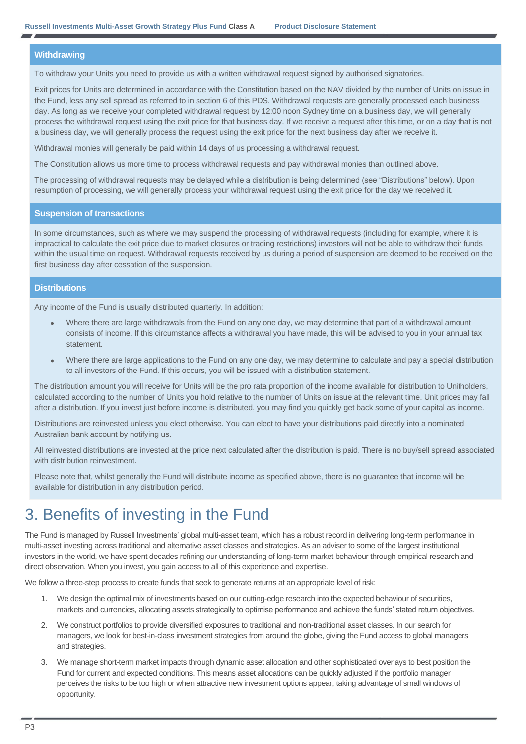#### **Withdrawing**

To withdraw your Units you need to provide us with a written withdrawal request signed by authorised signatories.

Exit prices for Units are determined in accordance with the Constitution based on the NAV divided by the number of Units on issue in the Fund, less any sell spread as referred to in section 6 of this PDS. Withdrawal requests are generally processed each business day. As long as we receive your completed withdrawal request by 12:00 noon Sydney time on a business day, we will generally process the withdrawal request using the exit price for that business day. If we receive a request after this time, or on a day that is not a business day, we will generally process the request using the exit price for the next business day after we receive it.

Withdrawal monies will generally be paid within 14 days of us processing a withdrawal request.

The Constitution allows us more time to process withdrawal requests and pay withdrawal monies than outlined above.

The processing of withdrawal requests may be delayed while a distribution is being determined (see "Distributions" below). Upon resumption of processing, we will generally process your withdrawal request using the exit price for the day we received it.

#### **Suspension of transactions**

In some circumstances, such as where we may suspend the processing of withdrawal requests (including for example, where it is impractical to calculate the exit price due to market closures or trading restrictions) investors will not be able to withdraw their funds within the usual time on request. Withdrawal requests received by us during a period of suspension are deemed to be received on the first business day after cessation of the suspension.

### **Distributions**

Any income of the Fund is usually distributed quarterly. In addition:

- Where there are large withdrawals from the Fund on any one day, we may determine that part of a withdrawal amount consists of income. If this circumstance affects a withdrawal you have made, this will be advised to you in your annual tax statement.
- Where there are large applications to the Fund on any one day, we may determine to calculate and pay a special distribution to all investors of the Fund. If this occurs, you will be issued with a distribution statement.

The distribution amount you will receive for Units will be the pro rata proportion of the income available for distribution to Unitholders, calculated according to the number of Units you hold relative to the number of Units on issue at the relevant time. Unit prices may fall after a distribution. If you invest just before income is distributed, you may find you quickly get back some of your capital as income.

Distributions are reinvested unless you elect otherwise. You can elect to have your distributions paid directly into a nominated Australian bank account by notifying us.

All reinvested distributions are invested at the price next calculated after the distribution is paid. There is no buy/sell spread associated with distribution reinvestment.

Please note that, whilst generally the Fund will distribute income as specified above, there is no guarantee that income will be available for distribution in any distribution period.

## 3. Benefits of investing in the Fund

The Fund is managed by Russell Investments' global multi-asset team, which has a robust record in delivering long-term performance in multi-asset investing across traditional and alternative asset classes and strategies. As an adviser to some of the largest institutional investors in the world, we have spent decades refining our understanding of long-term market behaviour through empirical research and direct observation. When you invest, you gain access to all of this experience and expertise.

We follow a three-step process to create funds that seek to generate returns at an appropriate level of risk:

- 1. We design the optimal mix of investments based on our cutting-edge research into the expected behaviour of securities, markets and currencies, allocating assets strategically to optimise performance and achieve the funds' stated return objectives.
- 2. We construct portfolios to provide diversified exposures to traditional and non-traditional asset classes. In our search for managers, we look for best-in-class investment strategies from around the globe, giving the Fund access to global managers and strategies.
- 3. We manage short-term market impacts through dynamic asset allocation and other sophisticated overlays to best position the Fund for current and expected conditions. This means asset allocations can be quickly adjusted if the portfolio manager perceives the risks to be too high or when attractive new investment options appear, taking advantage of small windows of opportunity.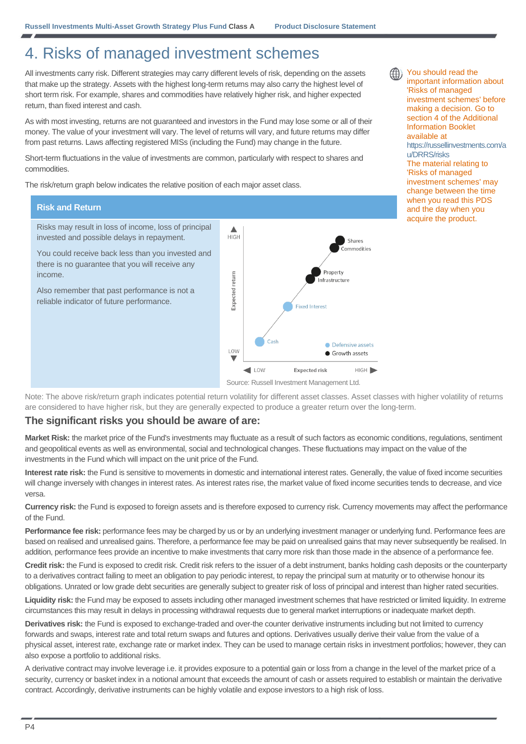# 4. Risks of managed investment schemes

All investments carry risk. Different strategies may carry different levels of risk, depending on the assets that make up the strategy. Assets with the highest long-term returns may also carry the highest level of short term risk. For example, shares and commodities have relatively higher risk, and higher expected return, than fixed interest and cash.

As with most investing, returns are not guaranteed and investors in the Fund may lose some or all of their money. The value of your investment will vary. The level of returns will vary, and future returns may differ from past returns. Laws affecting registered MISs (including the Fund) may change in the future.

Short-term fluctuations in the value of investments are common, particularly with respect to shares and commodities.

The risk/return graph below indicates the relative position of each major asset class.

### **Risk and Return**

Risks may result in loss of income, loss of principal invested and possible delays in repayment.

You could receive back less than you invested and there is no guarantee that you will receive any income.

Also remember that past performance is not a reliable indicator of future performance.



Source: Russell Investment Management Ltd.

Note: The above risk/return graph indicates potential return volatility for different asset classes. Asset classes with higher volatility of returns are considered to have higher risk, but they are generally expected to produce a greater return over the long-term.

### **The significant risks you should be aware of are:**

**Market Risk:** the market price of the Fund's investments may fluctuate as a result of such factors as economic conditions, regulations, sentiment and geopolitical events as well as environmental, social and technological changes. These fluctuations may impact on the value of the investments in the Fund which will impact on the unit price of the Fund.

**Interest rate risk:** the Fund is sensitive to movements in domestic and international interest rates. Generally, the value of fixed income securities will change inversely with changes in interest rates. As interest rates rise, the market value of fixed income securities tends to decrease, and vice versa.

**Currency risk:** the Fund is exposed to foreign assets and is therefore exposed to currency risk. Currency movements may affect the performance of the Fund.

Performance fee risk: performance fees may be charged by us or by an underlying investment manager or underlying fund. Performance fees are based on realised and unrealised gains. Therefore, a performance fee may be paid on unrealised gains that may never subsequently be realised. In addition, performance fees provide an incentive to make investments that carry more risk than those made in the absence of a performance fee.

**Credit risk:** the Fund is exposed to credit risk. Credit risk refers to the issuer of a debt instrument, banks holding cash deposits or the counterparty to a derivatives contract failing to meet an obligation to pay periodic interest, to repay the principal sum at maturity or to otherwise honour its obligations. Unrated or low grade debt securities are generally subject to greater risk of loss of principal and interest than higher rated securities.

Liquidity risk: the Fund may be exposed to assets including other managed investment schemes that have restricted or limited liquidity. In extreme circumstances this may result in delays in processing withdrawal requests due to general market interruptions or inadequate market depth.

**Derivatives risk:** the Fund is exposed to exchange-traded and over-the counter derivative instruments including but not limited to currency forwards and swaps, interest rate and total return swaps and futures and options. Derivatives usually derive their value from the value of a physical asset, interest rate, exchange rate or market index. They can be used to manage certain risks in investment portfolios; however, they can also expose a portfolio to additional risks.

A derivative contract may involve leverage i.e. it provides exposure to a potential gain or loss from a change in the level of the market price of a security, currency or basket index in a notional amount that exceeds the amount of cash or assets required to establish or maintain the derivative contract. Accordingly, derivative instruments can be highly volatile and expose investors to a high risk of loss.



You should read the important information about 'Risks of managed investment schemes' before making a decision. Go to section 4 of the Additional Information Booklet available at [https://russellinvestments.com/a](https://russellinvestments.com/au/DRRS/risks) [u/DRRS/risks](https://russellinvestments.com/au/DRRS/risks) The material relating to 'Risks of managed investment schemes' may change between the time when you read this PDS and the day when you acquire the product.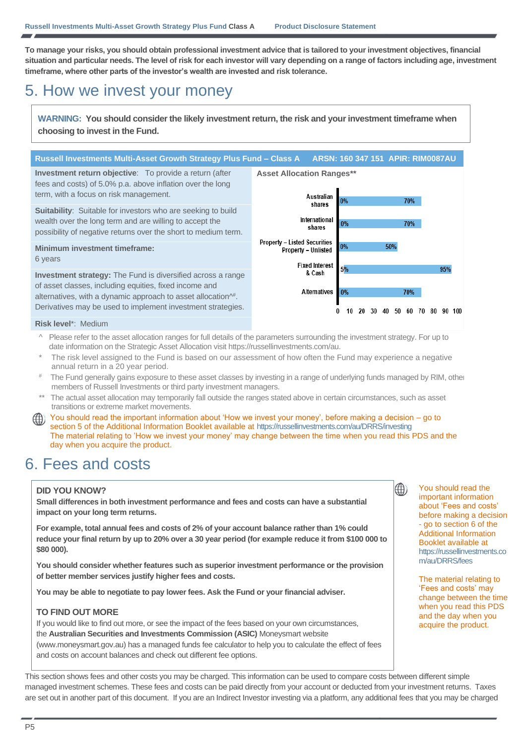**To manage your risks, you should obtain professional investment advice that is tailored to your investment objectives, financial situation and particular needs. The level of risk for each investor will vary depending on a range of factors including age, investment timeframe, where other parts of the investor's wealth are invested and risk tolerance.**

# 5. How we invest your money

**WARNING: You should consider the likely investment return, the risk and your investment timeframe when choosing to invest in the Fund.**

### **Russell Investments Multi-Asset Growth Strategy Plus Fund – Class A ARSN: 160 347 151 APIR: RIM0087AU**

**Asset Allocation Ranges\*\***

**Investment return objective**: To provide a return (after fees and costs) of 5.0% p.a. above inflation over the long term, with a focus on risk management.

**Suitability:** Suitable for investors who are seeking to build wealth over the long term and are willing to accept the possibility of negative returns over the short to medium term.

## **Minimum investment timeframe:**

6 years

**Investment strategy:** The Fund is diversified across a range of asset classes, including equities, fixed income and alternatives, with a dynamic approach to asset allocation^ # . Derivatives may be used to implement investment strategies.



#### **Risk level**\*: Medium

- Please refer to the asset allocation ranges for full details of the parameters surrounding the investment strategy. For up to date information on the Strategic Asset Allocation visi[t https://russellinvestments.com/au.](https://russellinvestments.com/au)
- The risk level assigned to the Fund is based on our assessment of how often the Fund may experience a negative annual return in a 20 year period.
- # The Fund generally gains exposure to these asset classes by investing in a range of underlying funds managed by RIM, other members of Russell Investments or third party investment managers.
- \*\* The actual asset allocation may temporarily fall outside the ranges stated above in certain circumstances, such as asset transitions or extreme market movements.
- You should read the important information about 'How we invest your money', before making a decision go to section 5 of the Additional Information Booklet available at https://russellinvestments.com/au/DRRS/investing The material relating to 'How we invest your money' may change between the time when you read this PDS and the day when you acquire the product.

## 6. Fees and costs

### **DID YOU KNOW?**

**Small differences in both investment performance and fees and costs can have a substantial impact on your long term returns.**

**For example, total annual fees and costs of 2% of your account balance rather than 1% could reduce your final return by up to 20% over a 30 year period (for example reduce it from \$100 000 to \$80 000).**

**You should consider whether features such as superior investment performance or the provision of better member services justify higher fees and costs.**

**You may be able to negotiate to pay lower fees. Ask the Fund or your financial adviser.**

### **TO FIND OUT MORE**

If you would like to find out more, or see the impact of the fees based on your own circumstances, the **Australian Securities and Investments Commission (ASIC)** Moneysmart website (www.moneysmart.gov.au) has a managed funds fee calculator to help you to calculate the effect of fees and costs on account balances and check out different fee options.

You should read the important information about 'Fees and costs' before making a decision - go to section 6 of the Additional Information Booklet available at [https://russellinvestments.co](https://russellinvestments.com/au/DRRS/fees) [m/au/DRRS/fees](https://russellinvestments.com/au/DRRS/fees)

⊕

The material relating to 'Fees and costs' may change between the time when you read this PDS and the day when you acquire the product.

This section shows fees and other costs you may be charged. This information can be used to compare costs between different simple managed investment schemes. These fees and costs can be paid directly from your account or deducted from your investment returns. Taxes are set out in another part of this document. If you are an Indirect Investor investing via a platform, any additional fees that you may be charged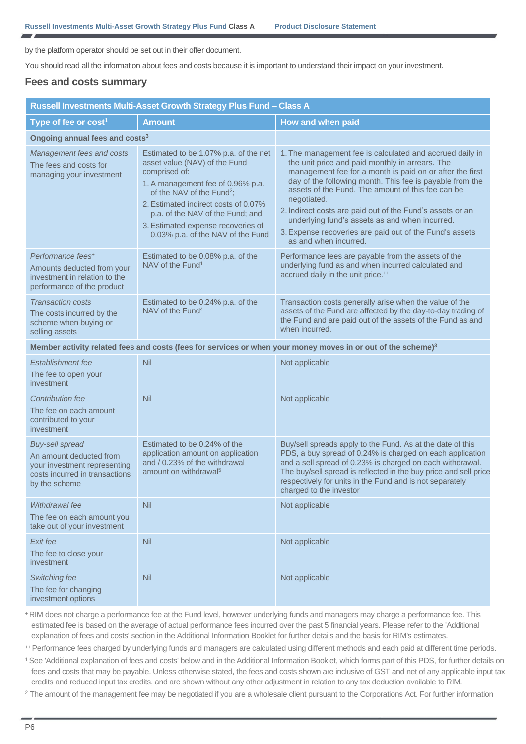by the platform operator should be set out in their offer document.

You should read all the information about fees and costs because it is important to understand their impact on your investment.

## **Fees and costs summary**

| Russell Investments Multi-Asset Growth Strategy Plus Fund - Class A                                                                  |                                                                                                                                                                                                                                                                                                                              |                                                                                                                                                                                                                                                                                                                                                                                                                                                                                                            |  |  |
|--------------------------------------------------------------------------------------------------------------------------------------|------------------------------------------------------------------------------------------------------------------------------------------------------------------------------------------------------------------------------------------------------------------------------------------------------------------------------|------------------------------------------------------------------------------------------------------------------------------------------------------------------------------------------------------------------------------------------------------------------------------------------------------------------------------------------------------------------------------------------------------------------------------------------------------------------------------------------------------------|--|--|
| Type of fee or cost <sup>1</sup>                                                                                                     | <b>Amount</b>                                                                                                                                                                                                                                                                                                                | How and when paid                                                                                                                                                                                                                                                                                                                                                                                                                                                                                          |  |  |
| Ongoing annual fees and costs <sup>3</sup>                                                                                           |                                                                                                                                                                                                                                                                                                                              |                                                                                                                                                                                                                                                                                                                                                                                                                                                                                                            |  |  |
| Management fees and costs<br>The fees and costs for<br>managing your investment                                                      | Estimated to be 1.07% p.a. of the net<br>asset value (NAV) of the Fund<br>comprised of:<br>1. A management fee of 0.96% p.a.<br>of the NAV of the Fund <sup>2</sup> ;<br>2. Estimated indirect costs of 0.07%<br>p.a. of the NAV of the Fund; and<br>3. Estimated expense recoveries of<br>0.03% p.a. of the NAV of the Fund | 1. The management fee is calculated and accrued daily in<br>the unit price and paid monthly in arrears. The<br>management fee for a month is paid on or after the first<br>day of the following month. This fee is payable from the<br>assets of the Fund. The amount of this fee can be<br>negotiated.<br>2. Indirect costs are paid out of the Fund's assets or an<br>underlying fund's assets as and when incurred.<br>3. Expense recoveries are paid out of the Fund's assets<br>as and when incurred. |  |  |
| Performance fees <sup>+</sup><br>Amounts deducted from your<br>investment in relation to the<br>performance of the product           | Estimated to be 0.08% p.a. of the<br>NAV of the Fund <sup>1</sup>                                                                                                                                                                                                                                                            | Performance fees are payable from the assets of the<br>underlying fund as and when incurred calculated and<br>accrued daily in the unit price. <sup>++</sup>                                                                                                                                                                                                                                                                                                                                               |  |  |
| <b>Transaction costs</b><br>The costs incurred by the<br>scheme when buying or<br>selling assets                                     | Estimated to be 0.24% p.a. of the<br>NAV of the Fund <sup>4</sup>                                                                                                                                                                                                                                                            | Transaction costs generally arise when the value of the<br>assets of the Fund are affected by the day-to-day trading of<br>the Fund and are paid out of the assets of the Fund as and<br>when incurred.                                                                                                                                                                                                                                                                                                    |  |  |
|                                                                                                                                      | Member activity related fees and costs (fees for services or when your money moves in or out of the scheme) <sup>3</sup>                                                                                                                                                                                                     |                                                                                                                                                                                                                                                                                                                                                                                                                                                                                                            |  |  |
| Establishment fee<br>The fee to open your<br>investment                                                                              | Nil                                                                                                                                                                                                                                                                                                                          | Not applicable                                                                                                                                                                                                                                                                                                                                                                                                                                                                                             |  |  |
| Contribution fee<br>The fee on each amount<br>contributed to your<br>investment                                                      | Nil                                                                                                                                                                                                                                                                                                                          | Not applicable                                                                                                                                                                                                                                                                                                                                                                                                                                                                                             |  |  |
| <b>Buy-sell spread</b><br>An amount deducted from<br>your investment representing<br>costs incurred in transactions<br>by the scheme | Estimated to be 0.24% of the<br>application amount on application<br>and / 0.23% of the withdrawal<br>amount on withdrawal <sup>5</sup>                                                                                                                                                                                      | Buy/sell spreads apply to the Fund. As at the date of this<br>PDS, a buy spread of 0.24% is charged on each application<br>and a sell spread of 0.23% is charged on each withdrawal.<br>The buy/sell spread is reflected in the buy price and sell price<br>respectively for units in the Fund and is not separately<br>charged to the investor                                                                                                                                                            |  |  |
| Withdrawal fee<br>The fee on each amount you<br>take out of your investment                                                          | Nil                                                                                                                                                                                                                                                                                                                          | Not applicable                                                                                                                                                                                                                                                                                                                                                                                                                                                                                             |  |  |
| Exit fee<br>The fee to close your<br>investment                                                                                      | Nil                                                                                                                                                                                                                                                                                                                          | Not applicable                                                                                                                                                                                                                                                                                                                                                                                                                                                                                             |  |  |
| Switching fee<br>The fee for changing<br>investment options                                                                          | Nil                                                                                                                                                                                                                                                                                                                          | Not applicable                                                                                                                                                                                                                                                                                                                                                                                                                                                                                             |  |  |

<sup>+</sup>RIM does not charge a performance fee at the Fund level, however underlying funds and managers may charge a performance fee. This estimated fee is based on the average of actual performance fees incurred over the past 5 financial years. Please refer to the 'Additional explanation of fees and costs' section in the Additional Information Booklet for further details and the basis for RIM's estimates.

++ Performance fees charged by underlying funds and managers are calculated using different methods and each paid at different time periods.

<sup>1</sup> See 'Additional explanation of fees and costs' below and in the Additional Information Booklet, which forms part of this PDS, for further details on fees and costs that may be payable. Unless otherwise stated, the fees and costs shown are inclusive of GST and net of any applicable input tax credits and reduced input tax credits, and are shown without any other adjustment in relation to any tax deduction available to RIM.

<sup>2</sup> The amount of the management fee may be negotiated if you are a wholesale client pursuant to the Corporations Act. For further information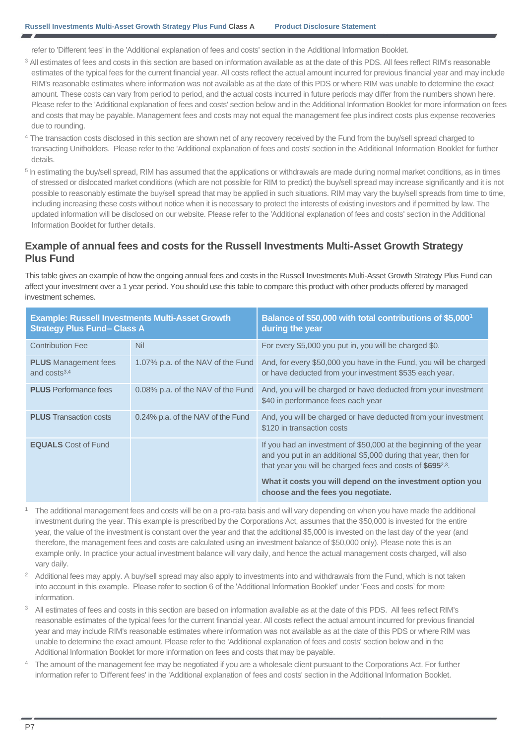refer to 'Different fees' in the 'Additional explanation of fees and costs' section in the Additional Information Booklet.

- <sup>3</sup> All estimates of fees and costs in this section are based on information available as at the date of this PDS. All fees reflect RIM's reasonable estimates of the typical fees for the current financial year. All costs reflect the actual amount incurred for previous financial year and may include RIM's reasonable estimates where information was not available as at the date of this PDS or where RIM was unable to determine the exact amount. These costs can vary from period to period, and the actual costs incurred in future periods may differ from the numbers shown here. Please refer to the 'Additional explanation of fees and costs' section below and in the Additional Information Booklet for more information on fees and costs that may be payable. Management fees and costs may not equal the management fee plus indirect costs plus expense recoveries due to rounding.
- <sup>4</sup> The transaction costs disclosed in this section are shown net of any recovery received by the Fund from the buy/sell spread charged to transacting Unitholders. Please refer to the 'Additional explanation of fees and costs' section in the Additional Information Booklet for further details.
- <sup>5</sup> In estimating the buy/sell spread, RIM has assumed that the applications or withdrawals are made during normal market conditions, as in times of stressed or dislocated market conditions (which are not possible for RIM to predict) the buy/sell spread may increase significantly and it is not possible to reasonably estimate the buy/sell spread that may be applied in such situations. RIM may vary the buy/sell spreads from time to time, including increasing these costs without notice when it is necessary to protect the interests of existing investors and if permitted by law. The updated information will be disclosed on our website. Please refer to the 'Additional explanation of fees and costs' section in the Additional Information Booklet for further details.

## **Example of annual fees and costs for the Russell Investments Multi-Asset Growth Strategy Plus Fund**

This table gives an example of how the ongoing annual fees and costs in the Russell Investments Multi-Asset Growth Strategy Plus Fund can affect your investment over a 1 year period. You should use this table to compare this product with other products offered by managed investment schemes.

| <b>Strategy Plus Fund- Class A</b>            | <b>Example: Russell Investments Multi-Asset Growth</b> | Balance of \$50,000 with total contributions of \$5,000 <sup>1</sup><br>during the year                                                                                                                        |  |
|-----------------------------------------------|--------------------------------------------------------|----------------------------------------------------------------------------------------------------------------------------------------------------------------------------------------------------------------|--|
| <b>Contribution Fee</b>                       | <b>Nil</b>                                             | For every \$5,000 you put in, you will be charged \$0.                                                                                                                                                         |  |
| <b>PLUS</b> Management fees<br>and $costs3,4$ | 1.07% p.a. of the NAV of the Fund                      | And, for every \$50,000 you have in the Fund, you will be charged<br>or have deducted from your investment \$535 each year.                                                                                    |  |
| <b>PLUS</b> Performance fees                  | 0.08% p.a. of the NAV of the Fund                      | And, you will be charged or have deducted from your investment<br>\$40 in performance fees each year                                                                                                           |  |
| <b>PLUS</b> Transaction costs                 | 0.24% p.a. of the NAV of the Fund                      | And, you will be charged or have deducted from your investment<br>\$120 in transaction costs                                                                                                                   |  |
| <b>EQUALS</b> Cost of Fund                    |                                                        | If you had an investment of \$50,000 at the beginning of the year<br>and you put in an additional \$5,000 during that year, then for<br>that year you will be charged fees and costs of \$695 <sup>2,3</sup> . |  |
|                                               |                                                        | What it costs you will depend on the investment option you<br>choose and the fees you negotiate.                                                                                                               |  |

- <sup>1</sup>The additional management fees and costs will be on a pro-rata basis and will vary depending on when you have made the additional investment during the year. This example is prescribed by the Corporations Act, assumes that the \$50,000 is invested for the entire year, the value of the investment is constant over the year and that the additional \$5,000 is invested on the last day of the year (and therefore, the management fees and costs are calculated using an investment balance of \$50,000 only). Please note this is an example only. In practice your actual investment balance will vary daily, and hence the actual management costs charged, will also vary daily.
- Additional fees may apply. A buy/sell spread may also apply to investments into and withdrawals from the Fund, which is not taken into account in this example. Please refer to section 6 of the 'Additional Information Booklet' under 'Fees and costs' for more information.
- <sup>3</sup> All estimates of fees and costs in this section are based on information available as at the date of this PDS. All fees reflect RIM's reasonable estimates of the typical fees for the current financial year. All costs reflect the actual amount incurred for previous financial year and may include RIM's reasonable estimates where information was not available as at the date of this PDS or where RIM was unable to determine the exact amount. Please refer to the 'Additional explanation of fees and costs' section below and in the Additional Information Booklet for more information on fees and costs that may be payable.
- The amount of the management fee may be negotiated if you are a wholesale client pursuant to the Corporations Act. For further information refer to 'Different fees' in the 'Additional explanation of fees and costs' section in the Additional Information Booklet.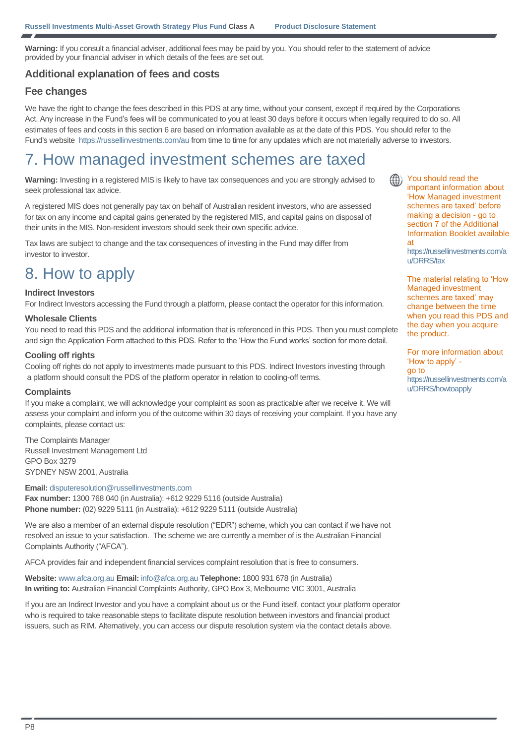**Warning:** If you consult a financial adviser, additional fees may be paid by you. You should refer to the statement of advice provided by your financial adviser in which details of the fees are set out.

## **Additional explanation of fees and costs**

### **Fee changes**

We have the right to change the fees described in this PDS at any time, without your consent, except if required by the Corporations Act. Any increase in the Fund's fees will be communicated to you at least 30 days before it occurs when legally required to do so. All estimates of fees and costs in this section 6 are based on information available as at the date of this PDS. You should refer to the Fund's website<https://russellinvestments.com/au> from time to time for any updates which are not materially adverse to investors.

## 7. How managed investment schemes are taxed

**Warning:** Investing in a registered MIS is likely to have tax consequences and you are strongly advised to seek professional tax advice.

A registered MIS does not generally pay tax on behalf of Australian resident investors, who are assessed for tax on any income and capital gains generated by the registered MIS, and capital gains on disposal of their units in the MIS. Non-resident investors should seek their own specific advice.

Tax laws are subject to change and the tax consequences of investing in the Fund may differ from investor to investor.

# 8. How to apply

#### **Indirect Investors**

For Indirect Investors accessing the Fund through a platform, please contact the operator for this information.

#### **Wholesale Clients**

You need to read this PDS and the additional information that is referenced in this PDS. Then you must complete and sign the Application Form attached to this PDS. Refer to the 'How the Fund works' section for more detail.

#### **Cooling off rights**

Cooling off rights do not apply to investments made pursuant to this PDS. Indirect Investors investing through a platform should consult the PDS of the platform operator in relation to cooling-off terms.

#### **Complaints**

If you make a complaint, we will acknowledge your complaint as soon as practicable after we receive it. We will assess your complaint and inform you of the outcome within 30 days of receiving your complaint. If you have any complaints, please contact us:

The Complaints Manager Russell Investment Management Ltd GPO Box 3279 SYDNEY NSW 2001, Australia

**Email:** [disputeresolution@russellinvestments.com](mailto:disputeresolution@russellinvestments.com) **Fax number:** 1300 768 040 (in Australia): +612 9229 5116 (outside Australia) **Phone number:** (02) 9229 5111 (in Australia): +612 9229 5111 (outside Australia)

We are also a member of an external dispute resolution ("EDR") scheme, which you can contact if we have not resolved an issue to your satisfaction. The scheme we are currently a member of is the Australian Financial Complaints Authority ("AFCA").

AFCA provides fair and independent financial services complaint resolution that is free to consumers.

**Website:** [www.afca.org.au](https://www.afca.org.au/) **Email:** [info@afca.org.au](mailto:info@afca.org.au) **Telephone:** 1800 931 678 (in Australia) **In writing to:** Australian Financial Complaints Authority, GPO Box 3, Melbourne VIC 3001, Australia

If you are an Indirect Investor and you have a complaint about us or the Fund itself, contact your platform operator who is required to take reasonable steps to facilitate dispute resolution between investors and financial product issuers, such as RIM. Alternatively, you can access our dispute resolution system via the contact details above.

You should read the important information about 'How Managed investment schemes are taxed' before making a decision - go to section 7 of the Additional Information Booklet available at

[https://russellinvestments.com/a](http://www.russellinvestments.com.au/DRRS/tax) [u/DRRS/tax](http://www.russellinvestments.com.au/DRRS/tax)

The material relating to 'How Managed investment schemes are taxed' may change between the time when you read this PDS and the day when you acquire the product.

For more information about 'How to apply' go to [https://russellinvestments.com/a](https://russellinvestments.com/au/DRRS/howtoapply) [u/DRRS/howtoapply](https://russellinvestments.com/au/DRRS/howtoapply)